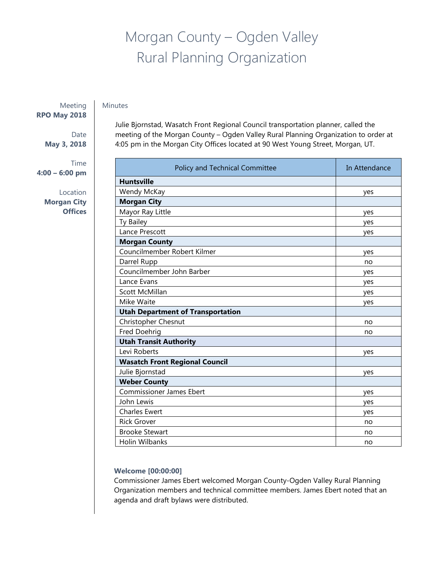# Morgan County – Ogden Valley Rural Planning Organization

# Minutes

Meeting **RPO May 2018**

> Date **May 3, 2018**

Time **4:00 – 6:00 pm**

> Location **Morgan City Offices**

Julie Bjornstad, Wasatch Front Regional Council transportation planner, called the meeting of the Morgan County – Ogden Valley Rural Planning Organization to order at 4:05 pm in the Morgan City Offices located at 90 West Young Street, Morgan, UT.

| Policy and Technical Committee           | In Attendance |
|------------------------------------------|---------------|
| <b>Huntsville</b>                        |               |
| Wendy McKay                              | yes           |
| <b>Morgan City</b>                       |               |
| Mayor Ray Little                         | yes           |
| Ty Bailey                                | yes           |
| Lance Prescott                           | yes           |
| <b>Morgan County</b>                     |               |
| Councilmember Robert Kilmer              | yes           |
| Darrel Rupp                              | no            |
| Councilmember John Barber                | yes           |
| Lance Evans                              | yes           |
| <b>Scott McMillan</b>                    | yes           |
| Mike Waite                               | yes           |
| <b>Utah Department of Transportation</b> |               |
| Christopher Chesnut                      | no            |
| Fred Doehrig                             | no            |
| <b>Utah Transit Authority</b>            |               |
| Levi Roberts                             | yes           |
| <b>Wasatch Front Regional Council</b>    |               |
| Julie Bjornstad                          | yes           |
| <b>Weber County</b>                      |               |
| <b>Commissioner James Ebert</b>          | yes           |
| John Lewis                               | yes           |
| <b>Charles Ewert</b>                     | yes           |
| <b>Rick Grover</b>                       | no            |
| <b>Brooke Stewart</b>                    | no            |
| Holin Wilbanks                           | no            |

## **Welcome [00:00:00]**

Commissioner James Ebert welcomed Morgan County-Ogden Valley Rural Planning Organization members and technical committee members. James Ebert noted that an agenda and draft bylaws were distributed.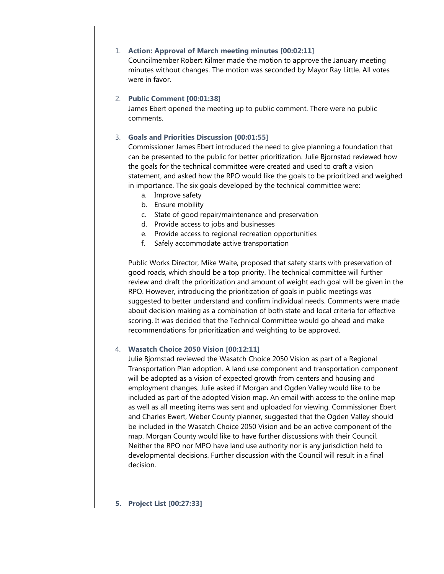#### 1. **Action: Approval of March meeting minutes [00:02:11]**

Councilmember Robert Kilmer made the motion to approve the January meeting minutes without changes. The motion was seconded by Mayor Ray Little. All votes were in favor.

#### 2. **Public Comment [00:01:38]**

James Ebert opened the meeting up to public comment. There were no public comments.

#### 3. **Goals and Priorities Discussion [00:01:55]**

Commissioner James Ebert introduced the need to give planning a foundation that can be presented to the public for better prioritization. Julie Bjornstad reviewed how the goals for the technical committee were created and used to craft a vision statement, and asked how the RPO would like the goals to be prioritized and weighed in importance. The six goals developed by the technical committee were:

- a. Improve safety
- b. Ensure mobility
- c. State of good repair/maintenance and preservation
- d. Provide access to jobs and businesses
- e. Provide access to regional recreation opportunities
- f. Safely accommodate active transportation

Public Works Director, Mike Waite, proposed that safety starts with preservation of good roads, which should be a top priority. The technical committee will further review and draft the prioritization and amount of weight each goal will be given in the RPO. However, introducing the prioritization of goals in public meetings was suggested to better understand and confirm individual needs. Comments were made about decision making as a combination of both state and local criteria for effective scoring. It was decided that the Technical Committee would go ahead and make recommendations for prioritization and weighting to be approved.

#### 4. **Wasatch Choice 2050 Vision [00:12:11]**

Julie Bjornstad reviewed the Wasatch Choice 2050 Vision as part of a Regional Transportation Plan adoption. A land use component and transportation component will be adopted as a vision of expected growth from centers and housing and employment changes. Julie asked if Morgan and Ogden Valley would like to be included as part of the adopted Vision map. An email with access to the online map as well as all meeting items was sent and uploaded for viewing. Commissioner Ebert and Charles Ewert, Weber County planner, suggested that the Ogden Valley should be included in the Wasatch Choice 2050 Vision and be an active component of the map. Morgan County would like to have further discussions with their Council. Neither the RPO nor MPO have land use authority nor is any jurisdiction held to developmental decisions. Further discussion with the Council will result in a final decision.

## **5. Project List [00:27:33]**